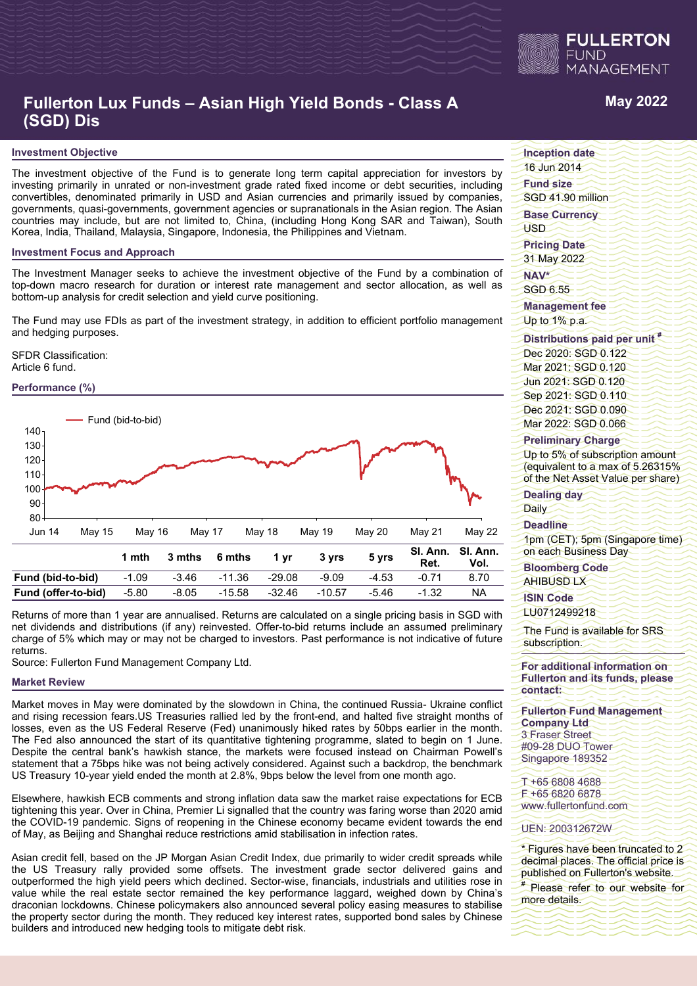

# **Fullerton Lux Funds – Asian High Yield Bonds - Class A (SGD) Dis**

#### **Investment Objective**

The investment objective of the Fund is to generate long term capital appreciation for investors by investing primarily in unrated or non-investment grade rated fixed income or debt securities, including convertibles, denominated primarily in USD and Asian currencies and primarily issued by companies, governments, quasi-governments, government agencies or supranationals in the Asian region. The Asian countries may include, but are not limited to, China, (including Hong Kong SAR and Taiwan), South Korea, India, Thailand, Malaysia, Singapore, Indonesia, the Philippines and Vietnam.

#### **Investment Focus and Approach**

The Investment Manager seeks to achieve the investment objective of the Fund by a combination of top-down macro research for duration or interest rate management and sector allocation, as well as bottom-up analysis for credit selection and yield curve positioning.

The Fund may use FDIs as part of the investment strategy, in addition to efficient portfolio management and hedging purposes.

SFDR Classification: Article 6 fund.



Returns of more than 1 year are annualised. Returns are calculated on a single pricing basis in SGD with net dividends and distributions (if any) reinvested. Offer-to-bid returns include an assumed preliminary charge of 5% which may or may not be charged to investors. Past performance is not indicative of future returns.

Source: Fullerton Fund Management Company Ltd.

#### **Market Review**

Market moves in May were dominated by the slowdown in China, the continued Russia- Ukraine conflict and rising recession fears.US Treasuries rallied led by the front-end, and halted five straight months of losses, even as the US Federal Reserve (Fed) unanimously hiked rates by 50bps earlier in the month. The Fed also announced the start of its quantitative tightening programme, slated to begin on 1 June. Despite the central bank's hawkish stance, the markets were focused instead on Chairman Powell's statement that a 75bps hike was not being actively considered. Against such a backdrop, the benchmark US Treasury 10-year yield ended the month at 2.8%, 9bps below the level from one month ago.

Elsewhere, hawkish ECB comments and strong inflation data saw the market raise expectations for ECB tightening this year. Over in China, Premier Li signalled that the country was faring worse than 2020 amid the COVID-19 pandemic. Signs of reopening in the Chinese economy became evident towards the end of May, as Beijing and Shanghai reduce restrictions amid stabilisation in infection rates.

Asian credit fell, based on the JP Morgan Asian Credit Index, due primarily to wider credit spreads while the US Treasury rally provided some offsets. The investment grade sector delivered gains and outperformed the high yield peers which declined. Sector-wise, financials, industrials and utilities rose in value while the real estate sector remained the key performance laggard, weighed down by China's draconian lockdowns. Chinese policymakers also announced several policy easing measures to stabilise the property sector during the month. They reduced key interest rates, supported bond sales by Chinese builders and introduced new hedging tools to mitigate debt risk.

# **May 2022**

**Inception date**

16 Jun 2014

**Fund size** SGD 41.90 million

**Base Currency** USD

**Pricing Date**

31 May 2022 **NAV\***

SGD 6.55

**Management fee** Up to 1% p.a.

### **Distributions paid per unit #**

Dec 2020: SGD 0.122 Mar 2021: SGD 0.120 Jun 2021: SGD 0.120 Sep 2021: SGD 0.110 Dec 2021: SGD 0.090 Mar 2022: SGD 0.066

#### **Preliminary Charge**

Up to 5% of subscription amount (equivalent to a max of 5.26315% of the Net Asset Value per share)

**Dealing day Daily** 

#### **Deadline**

1pm (CET); 5pm (Singapore time) on each Business Day

**Bloomberg Code** AHIBUSD LX

**ISIN Code**

LU0712499218

The Fund is available for SRS subscription.

**For additional information on Fullerton and its funds, please contact:**

**Fullerton Fund Management Company Ltd** 3 Fraser Street #09-28 DUO Tower

Singapore 189352 T +65 6808 4688

F +65 6820 6878 www.fullertonfund.com

#### UEN: 200312672W

\* Figures have been truncated to 2 decimal places. The official price is published on Fullerton's website.

# Please refer to our website for more details.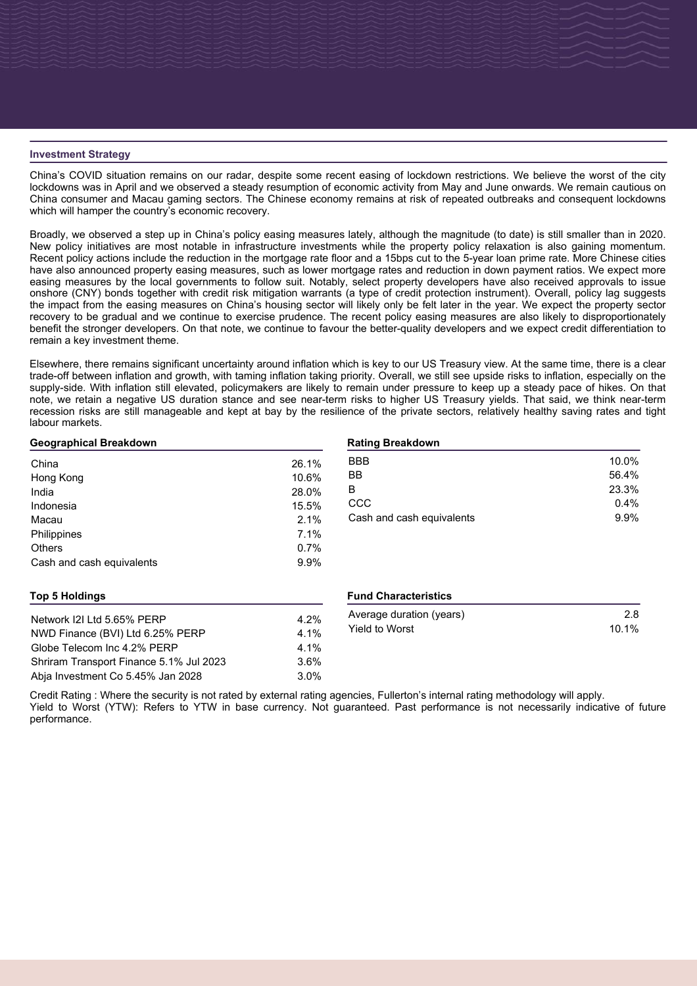#### **Investment Strategy**

China's COVID situation remains on our radar, despite some recent easing of lockdown restrictions. We believe the worst of the city lockdowns was in April and we observed a steady resumption of economic activity from May and June onwards. We remain cautious on China consumer and Macau gaming sectors. The Chinese economy remains at risk of repeated outbreaks and consequent lockdowns which will hamper the country's economic recovery.

Broadly, we observed a step up in China's policy easing measures lately, although the magnitude (to date) is still smaller than in 2020. New policy initiatives are most notable in infrastructure investments while the property policy relaxation is also gaining momentum. Recent policy actions include the reduction in the mortgage rate floor and a 15bps cut to the 5-year loan prime rate. More Chinese cities have also announced property easing measures, such as lower mortgage rates and reduction in down payment ratios. We expect more easing measures by the local governments to follow suit. Notably, select property developers have also received approvals to issue onshore (CNY) bonds together with credit risk mitigation warrants (a type of credit protection instrument). Overall, policy lag suggests the impact from the easing measures on China's housing sector will likely only be felt later in the year. We expect the property sector recovery to be gradual and we continue to exercise prudence. The recent policy easing measures are also likely to disproportionately benefit the stronger developers. On that note, we continue to favour the better-quality developers and we expect credit differentiation to remain a key investment theme.

Elsewhere, there remains significant uncertainty around inflation which is key to our US Treasury view. At the same time, there is a clear trade-off between inflation and growth, with taming inflation taking priority. Overall, we still see upside risks to inflation, especially on the supply-side. With inflation still elevated, policymakers are likely to remain under pressure to keep up a steady pace of hikes. On that note, we retain a negative US duration stance and see near-term risks to higher US Treasury yields. That said, we think near-term recession risks are still manageable and kept at bay by the resilience of the private sectors, relatively healthy saving rates and tight labour markets.

# **Geographical Breakdown** China 26.1% Hong Kong 10.6% India 28.0% Indonesia 15.5% Macau 2.1% Philippines 7.1% Others 0.7% Cash and cash equivalents 6.9%

#### **Rating Breakdown**

| <b>BBB</b>                | 10.0% |
|---------------------------|-------|
| BB                        | 56.4% |
| B                         | 23.3% |
| CCC                       | 0.4%  |
| Cash and cash equivalents | 9.9%  |
|                           |       |

## **Top 5 Holdings**

| Network 121 Ltd 5.65% PERP              | $4.2\%$ |
|-----------------------------------------|---------|
| NWD Finance (BVI) Ltd 6.25% PERP        | $4.1\%$ |
| Globe Telecom Inc 4.2% PERP             | $4.1\%$ |
| Shriram Transport Finance 5.1% Jul 2023 | 3.6%    |
| Abja Investment Co 5.45% Jan 2028       | 3.0%    |

#### **Fund Characteristics**

| Average duration (years) | 2.8   |
|--------------------------|-------|
| Yield to Worst           | 10.1% |

Credit Rating : Where the security is not rated by external rating agencies, Fullerton's internal rating methodology will apply. Yield to Worst (YTW): Refers to YTW in base currency. Not guaranteed. Past performance is not necessarily indicative of future performance.